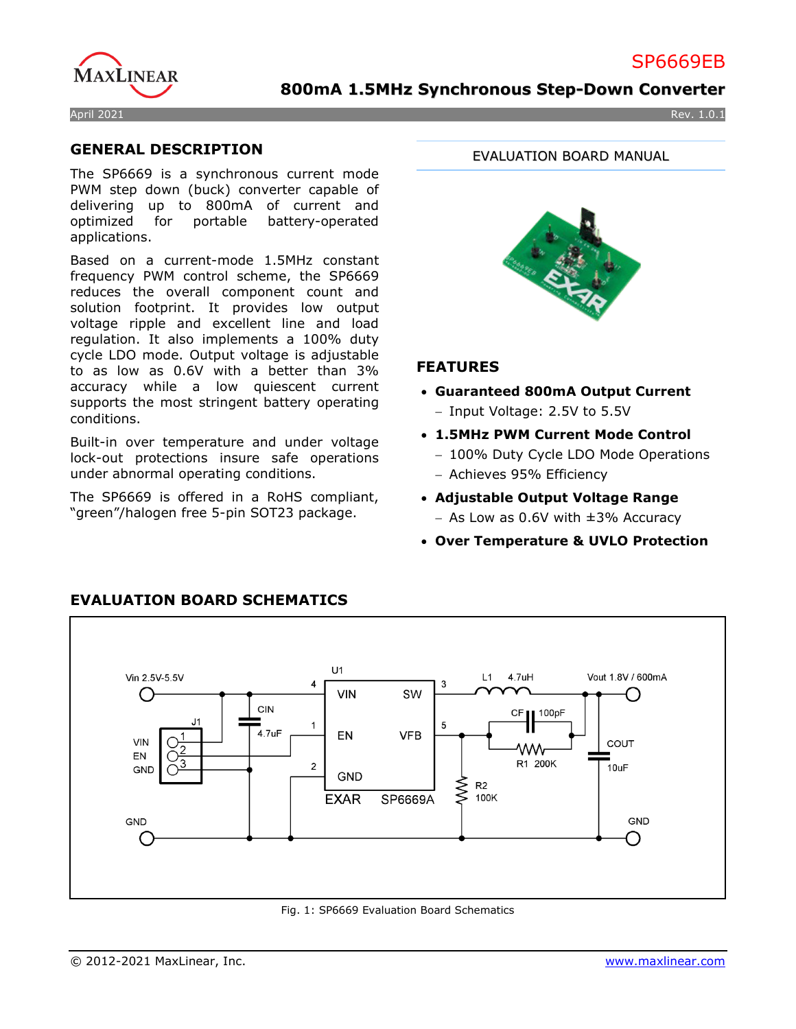# SP6669EB



### **800mA 1.5MHz Synchronous Step-Down Converter**

#### April 2021 Rev. 1.0.1

### **GENERAL DESCRIPTION**

The SP6669 is a synchronous current mode PWM step down (buck) converter capable of delivering up to 800mA of current and optimized for portable battery-operated applications.

Based on a current-mode 1.5MHz constant frequency PWM control scheme, the SP6669 reduces the overall component count and solution footprint. It provides low output voltage ripple and excellent line and load regulation. It also implements a 100% duty cycle LDO mode. Output voltage is adjustable to as low as 0.6V with a better than 3% accuracy while a low quiescent current supports the most stringent battery operating conditions.

Built-in over temperature and under voltage lock-out protections insure safe operations under abnormal operating conditions.

The SP6669 is offered in a RoHS compliant, "green"/halogen free 5-pin SOT23 package.

EVALUATION BOARD MANUAL



### **FEATURES**

- **Guaranteed 800mA Output Current** − Input Voltage: 2.5V to 5.5V
- **1.5MHz PWM Current Mode Control** 
	- − 100% Duty Cycle LDO Mode Operations
	- − Achieves 95% Efficiency
- **Adjustable Output Voltage Range** − As Low as 0.6V with ±3% Accuracy
- **Over Temperature & UVLO Protection**



## **EVALUATION BOARD SCHEMATICS**

Fig. 1: SP6669 Evaluation Board Schematics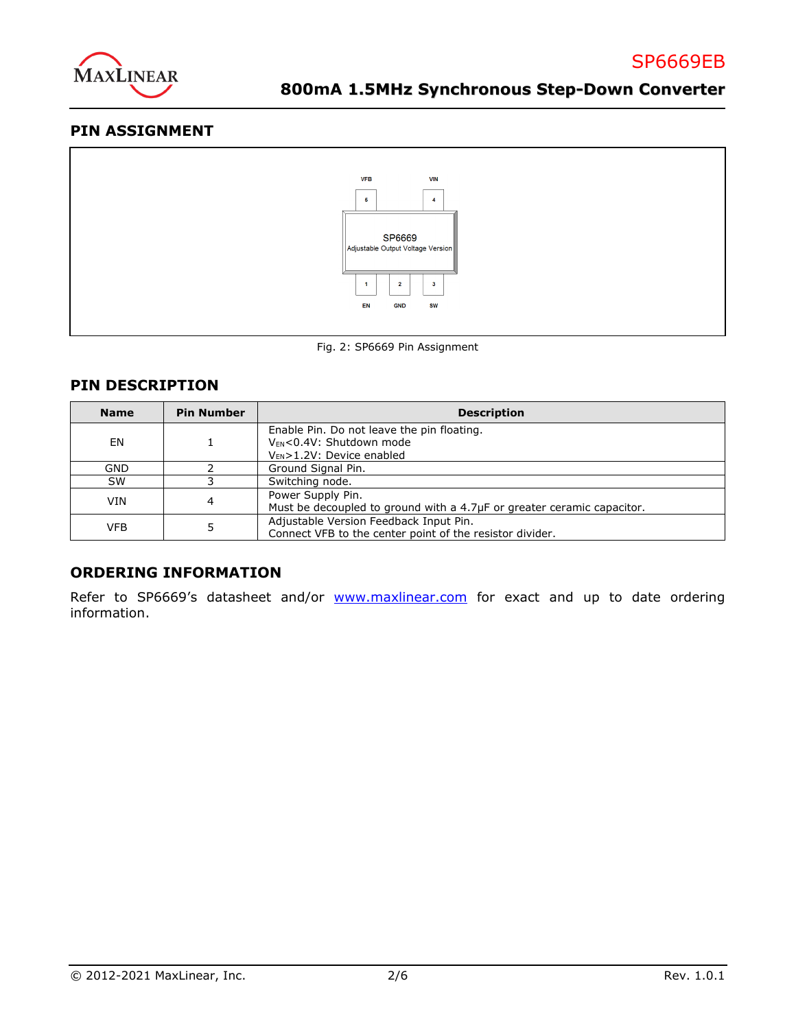

### **PIN ASSIGNMENT**





### **PIN DESCRIPTION**

| <b>Name</b> | <b>Pin Number</b> | <b>Description</b>                                                                                                          |  |  |
|-------------|-------------------|-----------------------------------------------------------------------------------------------------------------------------|--|--|
| EN          |                   | Enable Pin. Do not leave the pin floating.<br>V <sub>EN</sub> <0.4V: Shutdown mode<br>V <sub>EN</sub> >1.2V: Device enabled |  |  |
| GND         |                   | Ground Signal Pin.                                                                                                          |  |  |
| <b>SW</b>   |                   | Switching node.                                                                                                             |  |  |
| VIN         |                   | Power Supply Pin.<br>Must be decoupled to ground with a 4.7µF or greater ceramic capacitor.                                 |  |  |
| <b>VFB</b>  |                   | Adjustable Version Feedback Input Pin.<br>Connect VFB to the center point of the resistor divider.                          |  |  |

### **ORDERING INFORMATION**

Refer to SP6669's datasheet and/or [www.maxlinear.com](http://www.maxlinear.com/) for exact and up to date ordering information.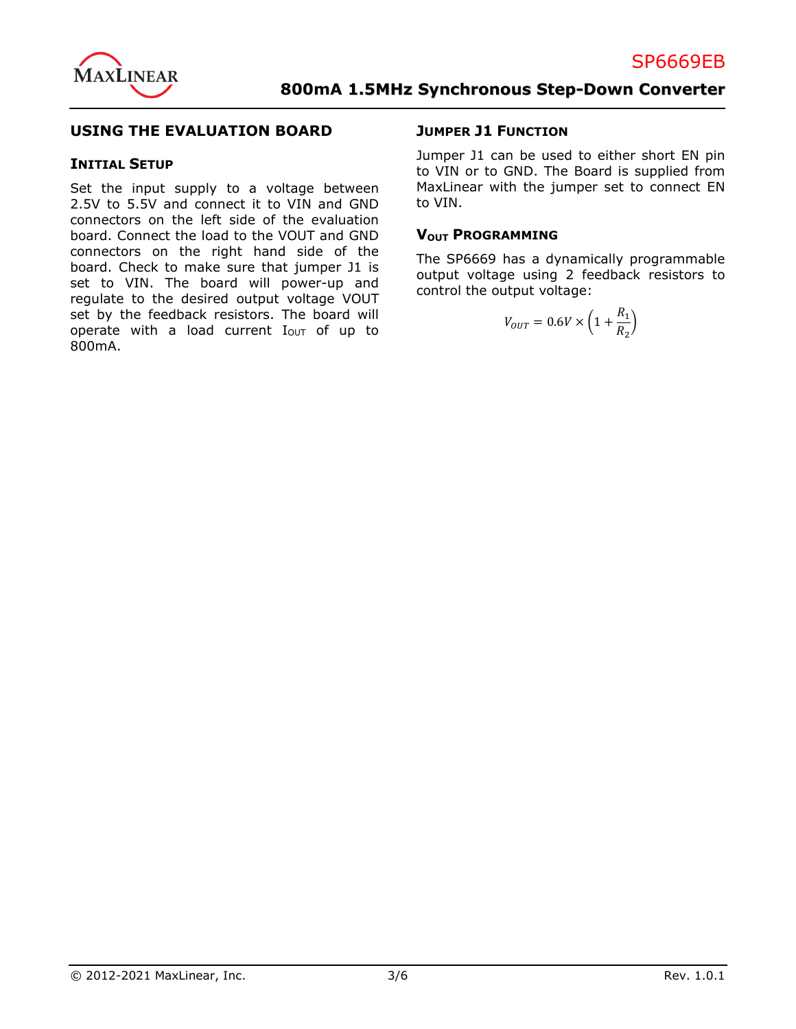

### **USING THE EVALUATION BOARD**

#### **INITIAL SETUP**

Set the input supply to a voltage between 2.5V to 5.5V and connect it to VIN and GND connectors on the left side of the evaluation board. Connect the load to the VOUT and GND connectors on the right hand side of the board. Check to make sure that jumper J1 is set to VIN. The board will power-up and regulate to the desired output voltage VOUT set by the feedback resistors. The board will operate with a load current  $I<sub>OUT</sub>$  of up to 800mA.

#### **JUMPER J1 FUNCTION**

Jumper J1 can be used to either short EN pin to VIN or to GND. The Board is supplied from MaxLinear with the jumper set to connect EN to VIN.

#### **VOUT PROGRAMMING**

The SP6669 has a dynamically programmable output voltage using 2 feedback resistors to control the output voltage:

$$
V_{OUT} = 0.6V \times \left(1 + \frac{R_1}{R_2}\right)
$$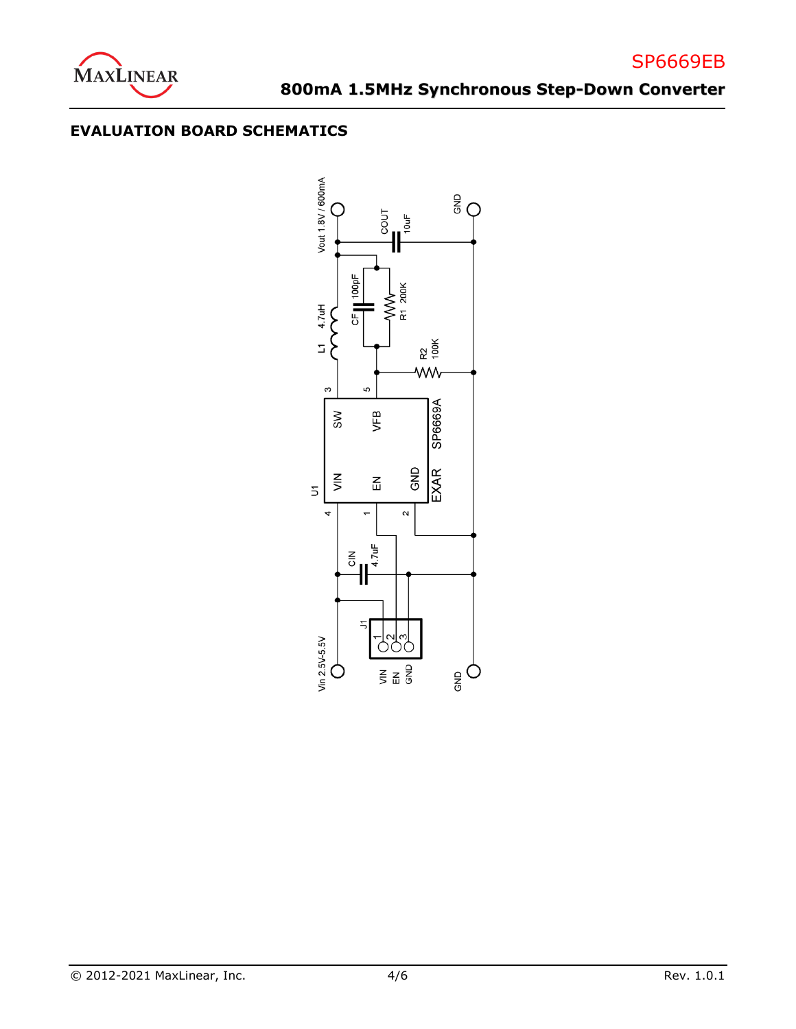

## **EVALUATION BOARD SCHEMATICS**

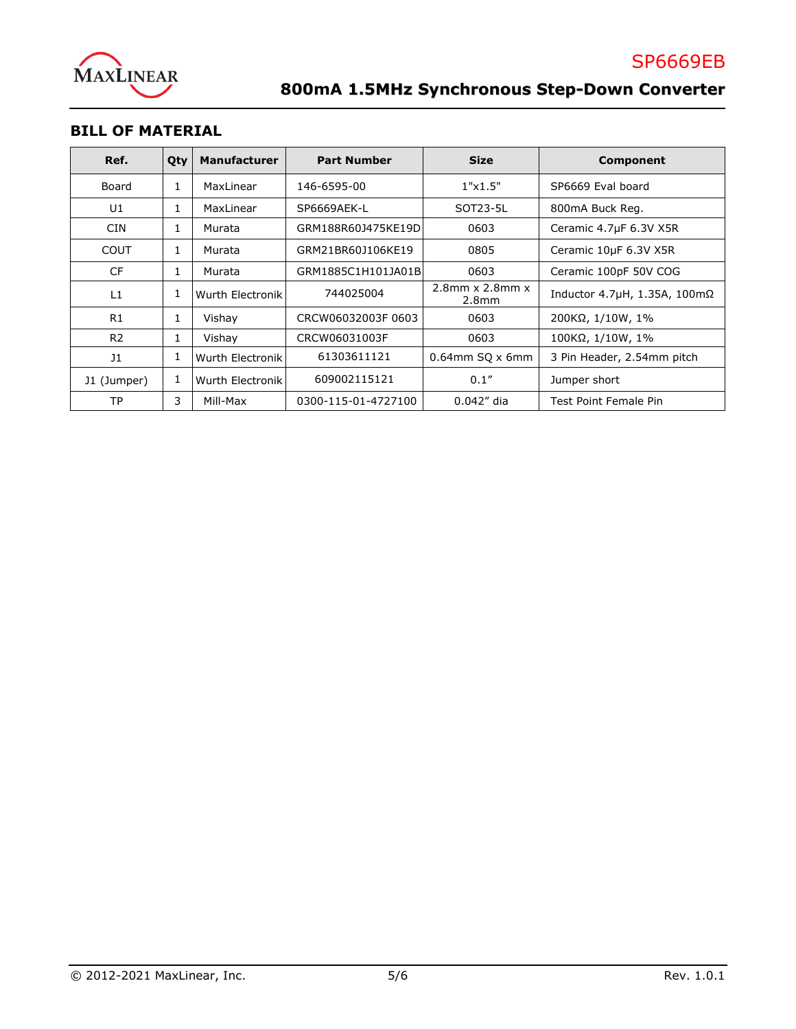

## **BILL OF MATERIAL**

| Ref.           | Qty | <b>Manufacturer</b> | <b>Part Number</b>  | <b>Size</b>                                | Component                      |
|----------------|-----|---------------------|---------------------|--------------------------------------------|--------------------------------|
| Board          | 1   | MaxLinear           | 146-6595-00         | 1"x1.5"                                    | SP6669 Eval board              |
| U1             | 1   | MaxLinear           | SP6669AEK-L         | SOT23-5L                                   | 800mA Buck Reg.                |
| <b>CIN</b>     | 1   | Murata              | GRM188R60J475KE19D  | 0603                                       | Ceramic 4.7µF 6.3V X5R         |
| COUT           | 1   | Murata              | GRM21BR60J106KE19   | 0805                                       | Ceramic 10µF 6.3V X5R          |
| <b>CF</b>      | 1   | Murata              | GRM1885C1H101JA01B  | 0603                                       | Ceramic 100pF 50V COG          |
| L1             | 1   | Wurth Electronik    | 744025004           | $2.8$ mm x $2.8$ mm x<br>2.8 <sub>mm</sub> | Inductor 4.7μH, 1.35A, 100mΩ   |
| R1             | 1   | Vishay              | CRCW06032003F0603   | 0603                                       | $200K\Omega$ , $1/10W$ , $1\%$ |
| R <sub>2</sub> | 1   | Vishay              | CRCW06031003F       | 0603                                       | 100KΩ, 1/10W, 1%               |
| 11             | 1   | Wurth Electronik    | 61303611121         | $0.64$ mm SQ x 6mm                         | 3 Pin Header, 2.54mm pitch     |
| J1 (Jumper)    | 1   | Wurth Electronik    | 609002115121        | 0.1''                                      | Jumper short                   |
| <b>TP</b>      | 3   | Mill-Max            | 0300-115-01-4727100 | $0.042''$ dia                              | Test Point Female Pin          |